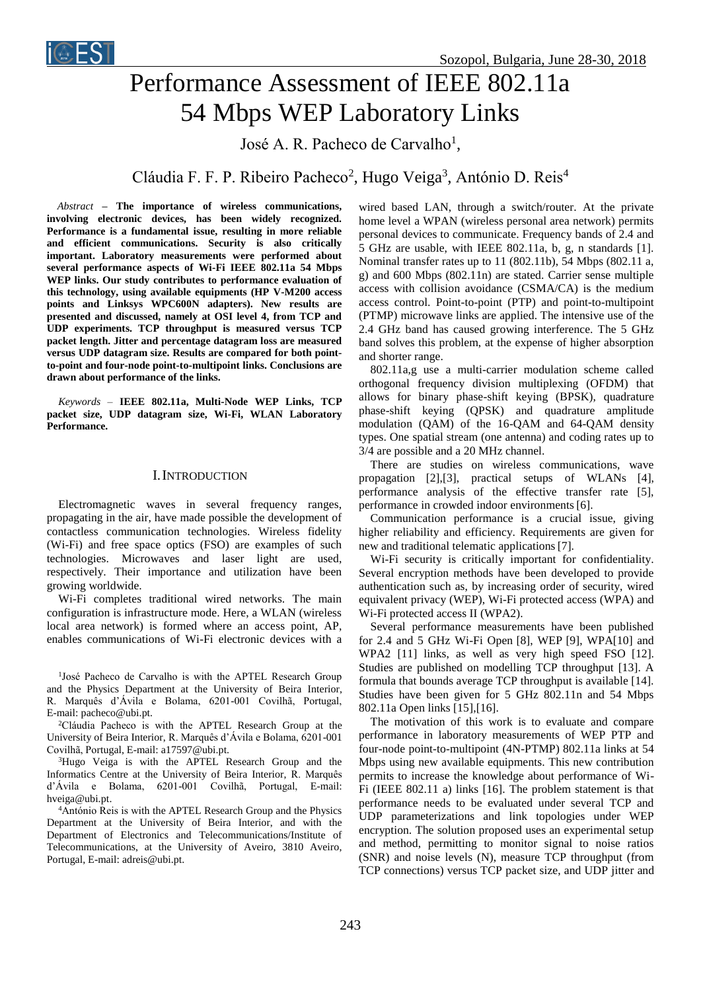

# Performance Assessment of IEEE 802.11a 54 Mbps WEP Laboratory Links

José A. R. Pacheco de Carvalho<sup>1</sup>,

Cláudia F. F. P. Ribeiro Pacheco<sup>2</sup>, Hugo Veiga<sup>3</sup>, António D. Reis<sup>4</sup>

*Abstract* **– The importance of wireless communications, involving electronic devices, has been widely recognized. Performance is a fundamental issue, resulting in more reliable and efficient communications. Security is also critically important. Laboratory measurements were performed about several performance aspects of Wi-Fi IEEE 802.11a 54 Mbps WEP links. Our study contributes to performance evaluation of this technology, using available equipments (HP V-M200 access points and Linksys WPC600N adapters). New results are presented and discussed, namely at OSI level 4, from TCP and UDP experiments. TCP throughput is measured versus TCP packet length. Jitter and percentage datagram loss are measured versus UDP datagram size. Results are compared for both pointto-point and four-node point-to-multipoint links. Conclusions are drawn about performance of the links.**

*Keywords –* **IEEE 802.11a, Multi-Node WEP Links, TCP packet size, UDP datagram size, Wi-Fi, WLAN Laboratory Performance.**

## I.INTRODUCTION

Electromagnetic waves in several frequency ranges, propagating in the air, have made possible the development of contactless communication technologies. Wireless fidelity (Wi-Fi) and free space optics (FSO) are examples of such technologies. Microwaves and laser light are used, respectively. Their importance and utilization have been growing worldwide.

Wi-Fi completes traditional wired networks. The main configuration is infrastructure mode. Here, a WLAN (wireless local area network) is formed where an access point, AP, enables communications of Wi-Fi electronic devices with a

<sup>1</sup>José Pacheco de Carvalho is with the APTEL Research Group and the Physics Department at the University of Beira Interior, R. Marquês d'Ávila e Bolama, 6201-001 Covilhã, Portugal, E-mail: pacheco@ubi.pt.

<sup>2</sup>Cláudia Pacheco is with the APTEL Research Group at the University of Beira Interior, R. Marquês d'Ávila e Bolama, 6201-001 Covilhã, Portugal, E-mail: a17597@ubi.pt.

<sup>3</sup>Hugo Veiga is with the APTEL Research Group and the Informatics Centre at the University of Beira Interior, R. Marquês d'Ávila e Bolama, 6201-001 Covilhã, Portugal, E-mail: [hveiga@ubi.pt.](mailto:hveiga@ubi.pt)

<sup>4</sup>António Reis is with the APTEL Research Group and the Physics Department at the University of Beira Interior, and with the Department of Electronics and Telecommunications/Institute of Telecommunications, at the University of Aveiro, 3810 Aveiro, Portugal, E-mail: adreis@ubi.pt.

wired based LAN, through a switch/router. At the private home level a WPAN (wireless personal area network) permits personal devices to communicate. Frequency bands of 2.4 and 5 GHz are usable, with IEEE 802.11a, b, g, n standards [1]. Nominal transfer rates up to 11 (802.11b), 54 Mbps (802.11 a, g) and 600 Mbps (802.11n) are stated. Carrier sense multiple access with collision avoidance (CSMA/CA) is the medium access control. Point-to-point (PTP) and point-to-multipoint (PTMP) microwave links are applied. The intensive use of the 2.4 GHz band has caused growing interference. The 5 GHz band solves this problem, at the expense of higher absorption and shorter range.

802.11a,g use a multi-carrier modulation scheme called orthogonal frequency division multiplexing (OFDM) that allows for binary phase-shift keying (BPSK), quadrature phase-shift keying (QPSK) and quadrature amplitude modulation (QAM) of the 16-QAM and 64-QAM density types. One spatial stream (one antenna) and coding rates up to 3/4 are possible and a 20 MHz channel.

There are studies on wireless communications, wave propagation [2],[3], practical setups of WLANs [4], performance analysis of the effective transfer rate [5], performance in crowded indoor environments[6].

Communication performance is a crucial issue, giving higher reliability and efficiency. Requirements are given for new and traditional telematic applications[7].

Wi-Fi security is critically important for confidentiality. Several encryption methods have been developed to provide authentication such as, by increasing order of security, wired equivalent privacy (WEP), Wi-Fi protected access (WPA) and Wi-Fi protected access II (WPA2).

Several performance measurements have been published for 2.4 and 5 GHz Wi-Fi Open [8], WEP [9], WPA[10] and WPA2 [11] links, as well as very high speed FSO [12]. Studies are published on modelling TCP throughput [13]. A formula that bounds average TCP throughput is available [14]. Studies have been given for 5 GHz 802.11n and 54 Mbps 802.11a Open links [15],[16].

The motivation of this work is to evaluate and compare performance in laboratory measurements of WEP PTP and four-node point-to-multipoint (4N-PTMP) 802.11a links at 54 Mbps using new available equipments. This new contribution permits to increase the knowledge about performance of Wi-Fi (IEEE 802.11 a) links [16]. The problem statement is that performance needs to be evaluated under several TCP and UDP parameterizations and link topologies under WEP encryption. The solution proposed uses an experimental setup and method, permitting to monitor signal to noise ratios (SNR) and noise levels (N), measure TCP throughput (from TCP connections) versus TCP packet size, and UDP jitter and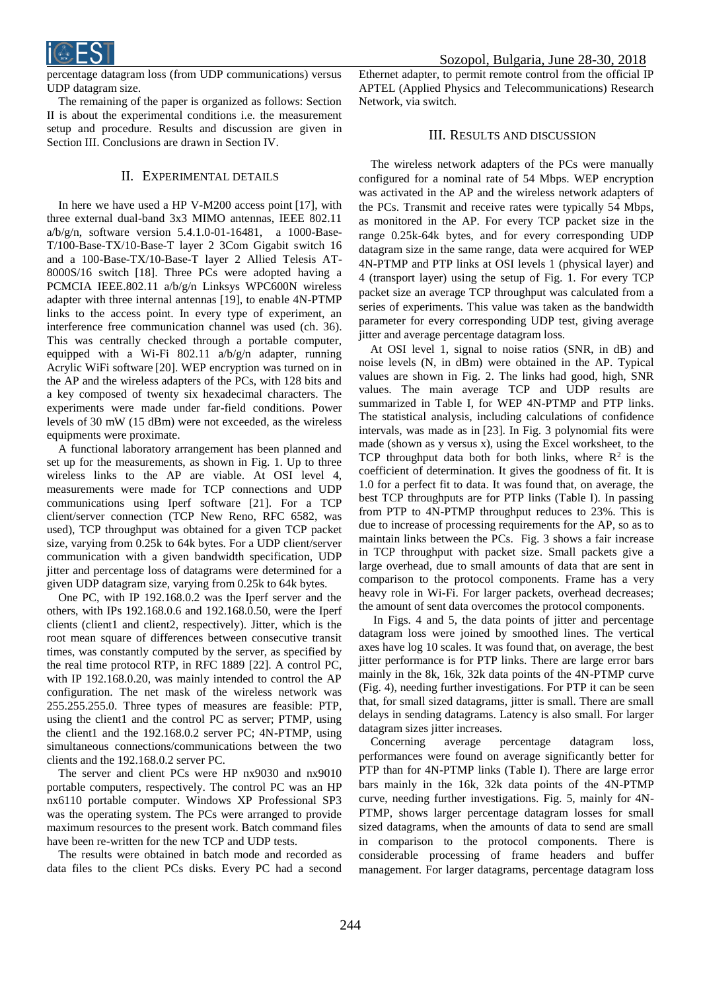

percentage datagram loss (from UDP communications) versus UDP datagram size.

The remaining of the paper is organized as follows: Section II is about the experimental conditions i.e. the measurement setup and procedure. Results and discussion are given in Section III. Conclusions are drawn in Section IV.

## II. EXPERIMENTAL DETAILS

In here we have used a HP V-M200 access point [17], with three external dual-band 3x3 MIMO antennas, IEEE 802.11 a/b/g/n, software version 5.4.1.0-01-16481, a 1000-Base-T/100-Base-TX/10-Base-T layer 2 3Com Gigabit switch 16 and a 100-Base-TX/10-Base-T layer 2 Allied Telesis AT-8000S/16 switch [18]. Three PCs were adopted having a PCMCIA IEEE.802.11 a/b/g/n Linksys WPC600N wireless adapter with three internal antennas [19], to enable 4N-PTMP links to the access point. In every type of experiment, an interference free communication channel was used (ch. 36). This was centrally checked through a portable computer, equipped with a Wi-Fi 802.11 a/b/g/n adapter, running Acrylic WiFi software [20]. WEP encryption was turned on in the AP and the wireless adapters of the PCs, with 128 bits and a key composed of twenty six hexadecimal characters. The experiments were made under far-field conditions. Power levels of 30 mW (15 dBm) were not exceeded, as the wireless equipments were proximate.

A functional laboratory arrangement has been planned and set up for the measurements, as shown in Fig. 1. Up to three wireless links to the AP are viable. At OSI level 4, measurements were made for TCP connections and UDP communications using Iperf software [21]. For a TCP client/server connection (TCP New Reno, RFC 6582, was used), TCP throughput was obtained for a given TCP packet size, varying from 0.25k to 64k bytes. For a UDP client/server communication with a given bandwidth specification, UDP jitter and percentage loss of datagrams were determined for a given UDP datagram size, varying from 0.25k to 64k bytes.

One PC, with IP 192.168.0.2 was the Iperf server and the others, with IPs 192.168.0.6 and 192.168.0.50, were the Iperf clients (client1 and client2, respectively). Jitter, which is the root mean square of differences between consecutive transit times, was constantly computed by the server, as specified by the real time protocol RTP, in RFC 1889 [22]. A control PC, with IP 192.168.0.20, was mainly intended to control the AP configuration. The net mask of the wireless network was 255.255.255.0. Three types of measures are feasible: PTP, using the client1 and the control PC as server; PTMP, using the client1 and the 192.168.0.2 server PC; 4N-PTMP, using simultaneous connections/communications between the two clients and the 192.168.0.2 server PC.

The server and client PCs were HP nx9030 and nx9010 portable computers, respectively. The control PC was an HP nx6110 portable computer. Windows XP Professional SP3 was the operating system. The PCs were arranged to provide maximum resources to the present work. Batch command files have been re-written for the new TCP and UDP tests.

The results were obtained in batch mode and recorded as data files to the client PCs disks. Every PC had a second

 Sozopol, Bulgaria, June 28-30, 2018 Ethernet adapter, to permit remote control from the official IP APTEL (Applied Physics and Telecommunications) Research Network, via switch.

## III. RESULTS AND DISCUSSION

The wireless network adapters of the PCs were manually configured for a nominal rate of 54 Mbps. WEP encryption was activated in the AP and the wireless network adapters of the PCs. Transmit and receive rates were typically 54 Mbps, as monitored in the AP. For every TCP packet size in the range 0.25k-64k bytes, and for every corresponding UDP datagram size in the same range, data were acquired for WEP 4N-PTMP and PTP links at OSI levels 1 (physical layer) and 4 (transport layer) using the setup of Fig. 1. For every TCP packet size an average TCP throughput was calculated from a series of experiments. This value was taken as the bandwidth parameter for every corresponding UDP test, giving average jitter and average percentage datagram loss.

At OSI level 1, signal to noise ratios (SNR, in dB) and noise levels (N, in dBm) were obtained in the AP. Typical values are shown in Fig. 2. The links had good, high, SNR values. The main average TCP and UDP results are summarized in Table I, for WEP 4N-PTMP and PTP links. The statistical analysis, including calculations of confidence intervals, was made as in [23]. In Fig. 3 polynomial fits were made (shown as y versus x), using the Excel worksheet, to the TCP throughput data both for both links, where  $R^2$  is the coefficient of determination. It gives the goodness of fit. It is 1.0 for a perfect fit to data. It was found that, on average, the best TCP throughputs are for PTP links (Table I). In passing from PTP to 4N-PTMP throughput reduces to 23%. This is due to increase of processing requirements for the AP, so as to maintain links between the PCs. Fig. 3 shows a fair increase in TCP throughput with packet size. Small packets give a large overhead, due to small amounts of data that are sent in comparison to the protocol components. Frame has a very heavy role in Wi-Fi. For larger packets, overhead decreases; the amount of sent data overcomes the protocol components.

In Figs. 4 and 5, the data points of jitter and percentage datagram loss were joined by smoothed lines. The vertical axes have log 10 scales. It was found that, on average, the best jitter performance is for PTP links. There are large error bars mainly in the 8k, 16k, 32k data points of the 4N-PTMP curve (Fig. 4), needing further investigations. For PTP it can be seen that, for small sized datagrams, jitter is small. There are small delays in sending datagrams. Latency is also small. For larger datagram sizes jitter increases.

Concerning average percentage datagram loss, performances were found on average significantly better for PTP than for 4N-PTMP links (Table I). There are large error bars mainly in the 16k, 32k data points of the 4N-PTMP curve, needing further investigations. Fig. 5, mainly for 4N-PTMP, shows larger percentage datagram losses for small sized datagrams, when the amounts of data to send are small in comparison to the protocol components. There is considerable processing of frame headers and buffer management. For larger datagrams, percentage datagram loss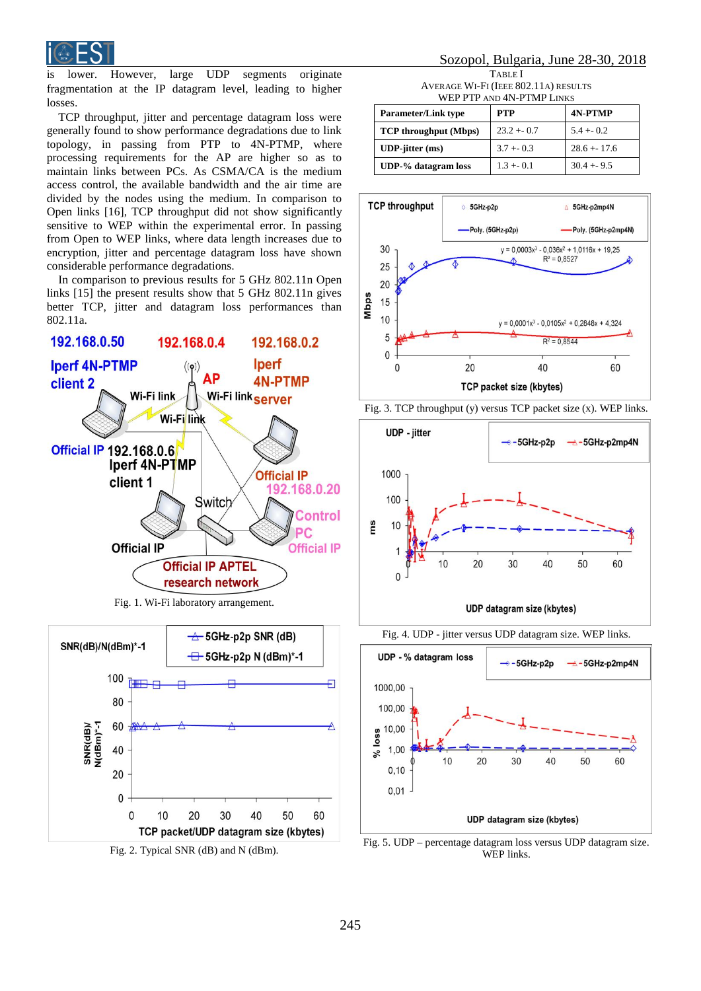

is lower. However, large UDP segments originate fragmentation at the IP datagram level, leading to higher losses.

TCP throughput, jitter and percentage datagram loss were generally found to show performance degradations due to link topology, in passing from PTP to 4N-PTMP, where processing requirements for the AP are higher so as to maintain links between PCs. As CSMA/CA is the medium access control, the available bandwidth and the air time are divided by the nodes using the medium. In comparison to Open links [16], TCP throughput did not show significantly sensitive to WEP within the experimental error. In passing from Open to WEP links, where data length increases due to encryption, jitter and percentage datagram loss have shown considerable performance degradations.

In comparison to previous results for 5 GHz 802.11n Open links [15] the present results show that 5 GHz 802.11n gives better TCP, jitter and datagram loss performances than 802.11a.



Fig. 1. Wi-Fi laboratory arrangement.



# Sozopol, Bulgaria, June 28-30, 2018

TABLE I AVERAGE WI-FI (IEEE 802.11A) RESULTS WEP PTP AND 4N-PTMP LINKS

| <b>Parameter/Link type</b>       | <b>PTP</b>   | <b>4N-PTMP</b> |
|----------------------------------|--------------|----------------|
| <b>TCP</b> throughput (Mbps)     | $23.2 + 0.7$ | $5.4 + 0.2$    |
| $UDP\text{-}jitter \text{ (ms)}$ | $3.7 + 0.3$  | $28.6 + 17.6$  |
| UDP-% datagram loss              | $1.3 + 0.1$  | $30.4 + 9.5$   |







UDP datagram size (kbytes)



Fig. 5. UDP – percentage datagram loss versus UDP datagram size. WEP links.